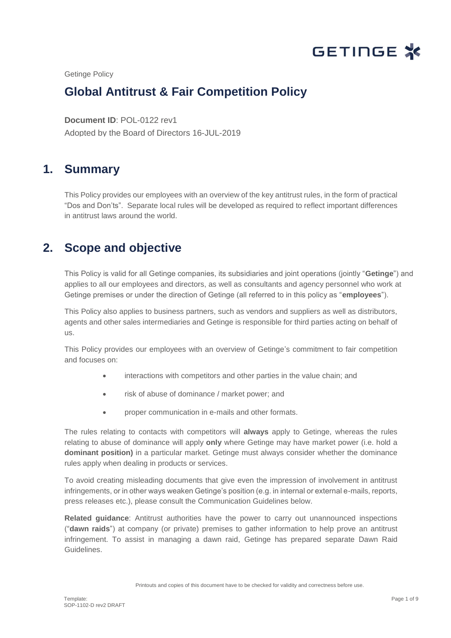

Getinge Policy

# **Global Antitrust & Fair Competition Policy**

**Document ID**: POL-0122 rev1 Pole believe the process of the contract of the contract of the contract of the contract of the contract of the<br>Pole believe the contract of the contract of the contract of the contract of the contract of the contract of t Adopted by the Board of Directors 16-JUL-2019

# **1. Summary**

This Policy provides our employees with an overview of the key antitrust rules, in the form of practical "Dos and Don'ts". Separate local rules will be developed as required to reflect important differences in antitrust laws around the world.

# **2. Scope and objective**

This Policy is valid for all Getinge companies, its subsidiaries and joint operations (jointly "**Getinge**") and applies to all our employees and directors, as well as consultants and agency personnel who work at Getinge premises or under the direction of Getinge (all referred to in this policy as "**employees**").

This Policy also applies to business partners, such as vendors and suppliers as well as distributors, agents and other sales intermediaries and Getinge is responsible for third parties acting on behalf of us.

This Policy provides our employees with an overview of Getinge's commitment to fair competition and focuses on:

- interactions with competitors and other parties in the value chain; and
- risk of abuse of dominance / market power; and
- proper communication in e-mails and other formats.

The rules relating to contacts with competitors will **always** apply to Getinge, whereas the rules relating to abuse of dominance will apply **only** where Getinge may have market power (i.e. hold a **dominant position)** in a particular market. Getinge must always consider whether the dominance rules apply when dealing in products or services.

To avoid creating misleading documents that give even the impression of involvement in antitrust infringements, or in other ways weaken Getinge's position (e.g. in internal or external e-mails, reports, press releases etc.), please consult the Communication Guidelines below.

**Related guidance**: Antitrust authorities have the power to carry out unannounced inspections ("**dawn raids**") at company (or private) premises to gather information to help prove an antitrust infringement. To assist in managing a dawn raid, Getinge has prepared separate Dawn Raid Guidelines.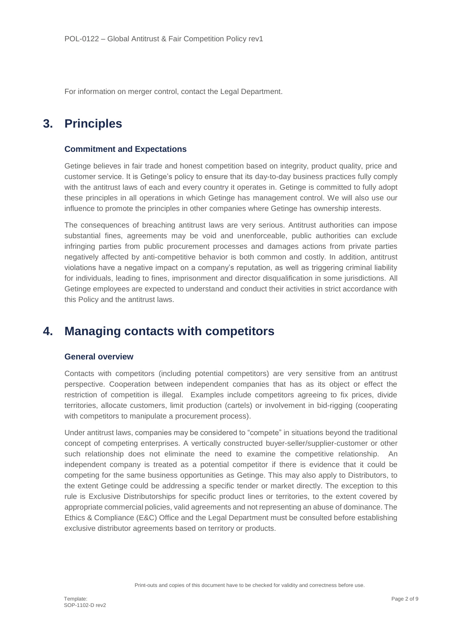For information on merger control, contact the Legal Department.

# **3. Principles**

### **Commitment and Expectations**

Getinge believes in fair trade and honest competition based on integrity, product quality, price and customer service. It is Getinge's policy to ensure that its day-to-day business practices fully comply with the antitrust laws of each and every country it operates in. Getinge is committed to fully adopt these principles in all operations in which Getinge has management control. We will also use our influence to promote the principles in other companies where Getinge has ownership interests.

The consequences of breaching antitrust laws are very serious. Antitrust authorities can impose substantial fines, agreements may be void and unenforceable, public authorities can exclude infringing parties from public procurement processes and damages actions from private parties negatively affected by anti-competitive behavior is both common and costly. In addition, antitrust violations have a negative impact on a company's reputation, as well as triggering criminal liability for individuals, leading to fines, imprisonment and director disqualification in some jurisdictions. All Getinge employees are expected to understand and conduct their activities in strict accordance with this Policy and the antitrust laws.

### **4. Managing contacts with competitors**

#### **General overview**

Contacts with competitors (including potential competitors) are very sensitive from an antitrust perspective. Cooperation between independent companies that has as its object or effect the restriction of competition is illegal. Examples include competitors agreeing to fix prices, divide territories, allocate customers, limit production (cartels) or involvement in bid-rigging (cooperating with competitors to manipulate a procurement process).

Under antitrust laws, companies may be considered to "compete" in situations beyond the traditional concept of competing enterprises. A vertically constructed buyer-seller/supplier-customer or other such relationship does not eliminate the need to examine the competitive relationship. An independent company is treated as a potential competitor if there is evidence that it could be competing for the same business opportunities as Getinge. This may also apply to Distributors, to the extent Getinge could be addressing a specific tender or market directly. The exception to this rule is Exclusive Distributorships for specific product lines or territories, to the extent covered by appropriate commercial policies, valid agreements and not representing an abuse of dominance. The Ethics & Compliance (E&C) Office and the Legal Department must be consulted before establishing exclusive distributor agreements based on territory or products.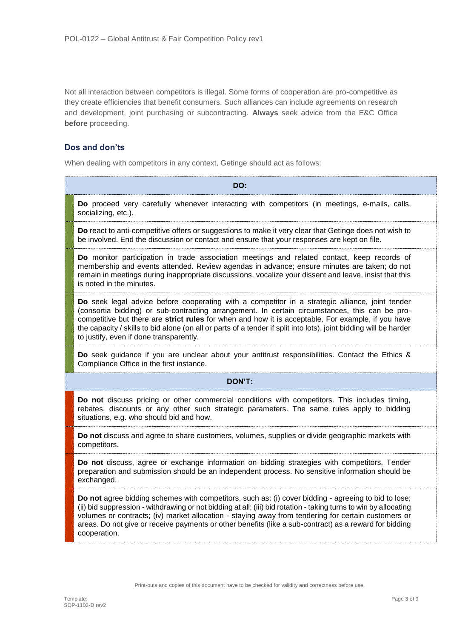Not all interaction between competitors is illegal. Some forms of cooperation are pro-competitive as they create efficiencies that benefit consumers. Such alliances can include agreements on research and development, joint purchasing or subcontracting. **Always** seek advice from the E&C Office **before** proceeding.

### **Dos and don'ts**

When dealing with competitors in any context. Getinge should act as follows:

| DO:    |                                                                                                                                                                                                                                                                                                                                                                                                                                                                         |  |
|--------|-------------------------------------------------------------------------------------------------------------------------------------------------------------------------------------------------------------------------------------------------------------------------------------------------------------------------------------------------------------------------------------------------------------------------------------------------------------------------|--|
|        | Do proceed very carefully whenever interacting with competitors (in meetings, e-mails, calls,<br>socializing, etc.).                                                                                                                                                                                                                                                                                                                                                    |  |
|        | Do react to anti-competitive offers or suggestions to make it very clear that Getinge does not wish to<br>be involved. End the discussion or contact and ensure that your responses are kept on file.                                                                                                                                                                                                                                                                   |  |
|        | Do monitor participation in trade association meetings and related contact, keep records of<br>membership and events attended. Review agendas in advance; ensure minutes are taken; do not<br>remain in meetings during inappropriate discussions, vocalize your dissent and leave, insist that this<br>is noted in the minutes.                                                                                                                                        |  |
|        | Do seek legal advice before cooperating with a competitor in a strategic alliance, joint tender<br>(consortia bidding) or sub-contracting arrangement. In certain circumstances, this can be pro-<br>competitive but there are strict rules for when and how it is acceptable. For example, if you have<br>the capacity / skills to bid alone (on all or parts of a tender if split into lots), joint bidding will be harder<br>to justify, even if done transparently. |  |
|        | Do seek guidance if you are unclear about your antitrust responsibilities. Contact the Ethics &<br>Compliance Office in the first instance.                                                                                                                                                                                                                                                                                                                             |  |
| DON'T: |                                                                                                                                                                                                                                                                                                                                                                                                                                                                         |  |
|        | Do not discuss pricing or other commercial conditions with competitors. This includes timing,<br>rebates, discounts or any other such strategic parameters. The same rules apply to bidding<br>situations, e.g. who should bid and how.                                                                                                                                                                                                                                 |  |
|        | Do not discuss and agree to share customers, volumes, supplies or divide geographic markets with<br>competitors.                                                                                                                                                                                                                                                                                                                                                        |  |
|        | Do not discuss, agree or exchange information on bidding strategies with competitors. Tender<br>preparation and submission should be an independent process. No sensitive information should be<br>exchanged.                                                                                                                                                                                                                                                           |  |
|        | Do not agree bidding schemes with competitors, such as: (i) cover bidding - agreeing to bid to lose;<br>(ii) bid suppression - withdrawing or not bidding at all; (iii) bid rotation - taking turns to win by allocating<br>volumes or contracts; (iv) market allocation - staying away from tendering for certain customers or<br>areas. Do not give or receive payments or other benefits (like a sub-contract) as a reward for bidding<br>cooperation.               |  |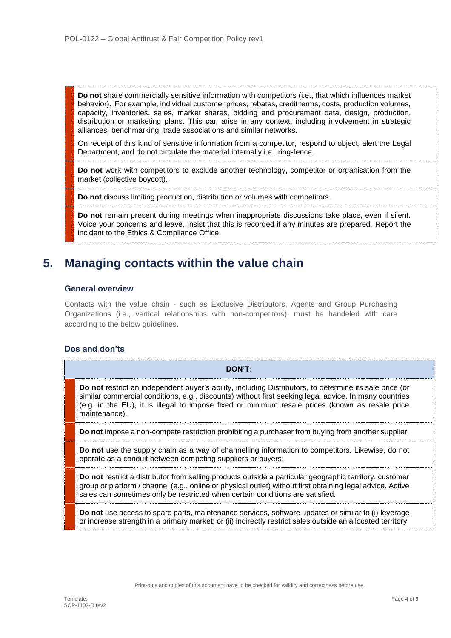**Do not** share commercially sensitive information with competitors (i.e., that which influences market behavior). For example, individual customer prices, rebates, credit terms, costs, production volumes, capacity, inventories, sales, market shares, bidding and procurement data, design, production, distribution or marketing plans. This can arise in any context, including involvement in strategic alliances, benchmarking, trade associations and similar networks.

On receipt of this kind of sensitive information from a competitor, respond to object, alert the Legal Department, and do not circulate the material internally i.e., ring-fence.

**Do not** work with competitors to exclude another technology, competitor or organisation from the market (collective boycott).

**Do not** discuss limiting production, distribution or volumes with competitors.

**Do not** remain present during meetings when inappropriate discussions take place, even if silent. Voice your concerns and leave. Insist that this is recorded if any minutes are prepared. Report the incident to the Ethics & Compliance Office.

## **5. Managing contacts within the value chain**

#### **General overview**

Contacts with the value chain - such as Exclusive Distributors, Agents and Group Purchasing Organizations (i.e., vertical relationships with non-competitors), must be handeled with care according to the below guidelines.

#### **Dos and don'ts**

| ∖OΝ<br>. . |
|------------|
|------------|

**Do not** restrict an independent buyer's ability, including Distributors, to determine its sale price (or similar commercial conditions, e.g., discounts) without first seeking legal advice. In many countries (e.g. in the EU), it is illegal to impose fixed or minimum resale prices (known as resale price maintenance).

**Do not** impose a non-compete restriction prohibiting a purchaser from buying from another supplier.

**Do not** use the supply chain as a way of channelling information to competitors. Likewise, do not operate as a conduit between competing suppliers or buyers.

**Do not** restrict a distributor from selling products outside a particular geographic territory, customer group or platform / channel (e.g., online or physical outlet) without first obtaining legal advice. Active sales can sometimes only be restricted when certain conditions are satisfied.

**Do not** use access to spare parts, maintenance services, software updates or similar to (i) leverage or increase strength in a primary market; or (ii) indirectly restrict sales outside an allocated territory.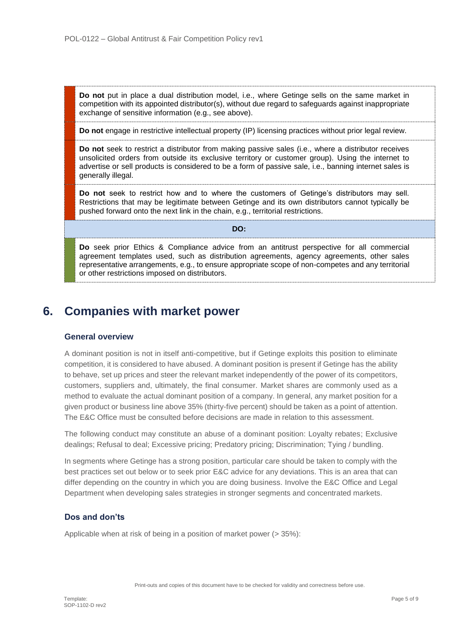**Do not** put in place a dual distribution model, i.e., where Getinge sells on the same market in competition with its appointed distributor(s), without due regard to safeguards against inappropriate exchange of sensitive information (e.g., see above).

**Do not** engage in restrictive intellectual property (IP) licensing practices without prior legal review.

**Do not** seek to restrict a distributor from making passive sales (i.e., where a distributor receives unsolicited orders from outside its exclusive territory or customer group). Using the internet to advertise or sell products is considered to be a form of passive sale, i.e., banning internet sales is generally illegal.

**Do not** seek to restrict how and to where the customers of Getinge's distributors may sell. Restrictions that may be legitimate between Getinge and its own distributors cannot typically be pushed forward onto the next link in the chain, e.g., territorial restrictions.

**DO:**

**Do** seek prior Ethics & Compliance advice from an antitrust perspective for all commercial agreement templates used, such as distribution agreements, agency agreements, other sales representative arrangements, e.g., to ensure appropriate scope of non-competes and any territorial or other restrictions imposed on distributors.

## **6. Companies with market power**

### **General overview**

A dominant position is not in itself anti-competitive, but if Getinge exploits this position to eliminate competition, it is considered to have abused. A dominant position is present if Getinge has the ability to behave, set up prices and steer the relevant market independently of the power of its competitors, customers, suppliers and, ultimately, the final consumer. Market shares are commonly used as a method to evaluate the actual dominant position of a company. In general, any market position for a given product or business line above 35% (thirty-five percent) should be taken as a point of attention. The E&C Office must be consulted before decisions are made in relation to this assessment.

The following conduct may constitute an abuse of a dominant position: Loyalty rebates; Exclusive dealings; Refusal to deal; Excessive pricing; Predatory pricing; Discrimination; Tying / bundling.

In segments where Getinge has a strong position, particular care should be taken to comply with the best practices set out below or to seek prior E&C advice for any deviations. This is an area that can differ depending on the country in which you are doing business. Involve the E&C Office and Legal Department when developing sales strategies in stronger segments and concentrated markets.

### **Dos and don'ts**

Applicable when at risk of being in a position of market power (> 35%):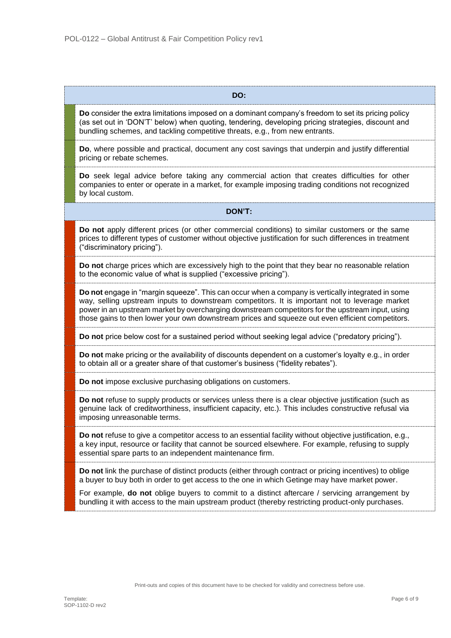| DO:                                                                                                                                                                                                                                                                                                                                                                                                         |
|-------------------------------------------------------------------------------------------------------------------------------------------------------------------------------------------------------------------------------------------------------------------------------------------------------------------------------------------------------------------------------------------------------------|
| Do consider the extra limitations imposed on a dominant company's freedom to set its pricing policy<br>(as set out in 'DON'T' below) when quoting, tendering, developing pricing strategies, discount and<br>bundling schemes, and tackling competitive threats, e.g., from new entrants.                                                                                                                   |
| Do, where possible and practical, document any cost savings that underpin and justify differential<br>pricing or rebate schemes.                                                                                                                                                                                                                                                                            |
| Do seek legal advice before taking any commercial action that creates difficulties for other<br>companies to enter or operate in a market, for example imposing trading conditions not recognized<br>by local custom.                                                                                                                                                                                       |
| DON'T:                                                                                                                                                                                                                                                                                                                                                                                                      |
| Do not apply different prices (or other commercial conditions) to similar customers or the same<br>prices to different types of customer without objective justification for such differences in treatment<br>("discriminatory pricing").                                                                                                                                                                   |
| Do not charge prices which are excessively high to the point that they bear no reasonable relation<br>to the economic value of what is supplied ("excessive pricing").                                                                                                                                                                                                                                      |
| Do not engage in "margin squeeze". This can occur when a company is vertically integrated in some<br>way, selling upstream inputs to downstream competitors. It is important not to leverage market<br>power in an upstream market by overcharging downstream competitors for the upstream input, using<br>those gains to then lower your own downstream prices and squeeze out even efficient competitors. |
| Do not price below cost for a sustained period without seeking legal advice ("predatory pricing").                                                                                                                                                                                                                                                                                                          |
| Do not make pricing or the availability of discounts dependent on a customer's loyalty e.g., in order<br>to obtain all or a greater share of that customer's business ("fidelity rebates").                                                                                                                                                                                                                 |
| Do not impose exclusive purchasing obligations on customers.                                                                                                                                                                                                                                                                                                                                                |
| Do not refuse to supply products or services unless there is a clear objective justification (such as<br>genuine lack of creditworthiness, insufficient capacity, etc.). This includes constructive refusal via<br>imposing unreasonable terms.                                                                                                                                                             |
| Do not refuse to give a competitor access to an essential facility without objective justification, e.g.,<br>a key input, resource or facility that cannot be sourced elsewhere. For example, refusing to supply<br>essential spare parts to an independent maintenance firm.                                                                                                                               |
| Do not link the purchase of distinct products (either through contract or pricing incentives) to oblige<br>a buyer to buy both in order to get access to the one in which Getinge may have market power.                                                                                                                                                                                                    |
| For example, <b>do not</b> oblige buyers to commit to a distinct aftercare / servicing arrangement by<br>bundling it with access to the main upstream product (thereby restricting product-only purchases.                                                                                                                                                                                                  |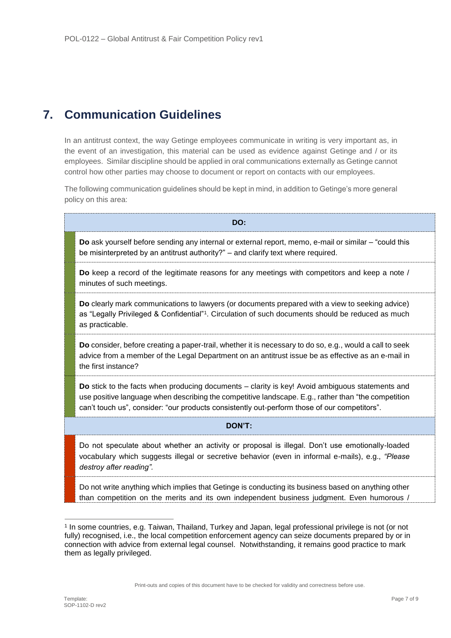# **7. Communication Guidelines**

In an antitrust context, the way Getinge employees communicate in writing is very important as, in the event of an investigation, this material can be used as evidence against Getinge and / or its employees. Similar discipline should be applied in oral communications externally as Getinge cannot control how other parties may choose to document or report on contacts with our employees.

The following communication guidelines should be kept in mind, in addition to Getinge's more general policy on this area:

| DO:                                                                                                                                                                                                                                                                                                    |  |  |
|--------------------------------------------------------------------------------------------------------------------------------------------------------------------------------------------------------------------------------------------------------------------------------------------------------|--|--|
| Do ask yourself before sending any internal or external report, memo, e-mail or similar – "could this<br>be misinterpreted by an antitrust authority?" - and clarify text where required.                                                                                                              |  |  |
| Do keep a record of the legitimate reasons for any meetings with competitors and keep a note /<br>minutes of such meetings.                                                                                                                                                                            |  |  |
| Do clearly mark communications to lawyers (or documents prepared with a view to seeking advice)<br>as "Legally Privileged & Confidential" <sup>1</sup> . Circulation of such documents should be reduced as much<br>as practicable.                                                                    |  |  |
| Do consider, before creating a paper-trail, whether it is necessary to do so, e.g., would a call to seek<br>advice from a member of the Legal Department on an antitrust issue be as effective as an e-mail in<br>the first instance?                                                                  |  |  |
| Do stick to the facts when producing documents – clarity is key! Avoid ambiguous statements and<br>use positive language when describing the competitive landscape. E.g., rather than "the competition<br>can't touch us", consider: "our products consistently out-perform those of our competitors". |  |  |
| DON'T:                                                                                                                                                                                                                                                                                                 |  |  |
| Do not speculate about whether an activity or proposal is illegal. Don't use emotionally-loaded<br>vocabulary which suggests illegal or secretive behavior (even in informal e-mails), e.g., "Please<br>destroy after reading".                                                                        |  |  |
| Do not write anything which implies that Getinge is conducting its business based on anything other<br>than competition on the merits and its own independent business judgment. Even humorous /                                                                                                       |  |  |

-

<sup>1</sup> In some countries, e.g. Taiwan, Thailand, Turkey and Japan, legal professional privilege is not (or not fully) recognised, i.e., the local competition enforcement agency can seize documents prepared by or in connection with advice from external legal counsel. Notwithstanding, it remains good practice to mark them as legally privileged.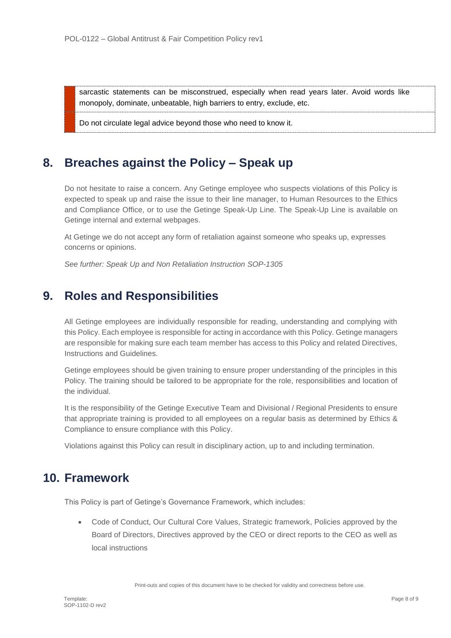sarcastic statements can be misconstrued, especially when read years later. Avoid words like monopoly, dominate, unbeatable, high barriers to entry, exclude, etc.

Do not circulate legal advice beyond those who need to know it.

## **8. Breaches against the Policy – Speak up**

Do not hesitate to raise a concern. Any Getinge employee who suspects violations of this Policy is expected to speak up and raise the issue to their line manager, to Human Resources to the Ethics and Compliance Office, or to use the Getinge Speak-Up Line. The Speak-Up Line is available on Getinge internal and external webpages.

At Getinge we do not accept any form of retaliation against someone who speaks up, expresses concerns or opinions.

*See further: Speak Up and Non Retaliation Instruction SOP-1305*

### **9. Roles and Responsibilities**

All Getinge employees are individually responsible for reading, understanding and complying with this Policy. Each employee is responsible for acting in accordance with this Policy. Getinge managers are responsible for making sure each team member has access to this Policy and related Directives, Instructions and Guidelines.

Getinge employees should be given training to ensure proper understanding of the principles in this Policy. The training should be tailored to be appropriate for the role, responsibilities and location of the individual.

It is the responsibility of the Getinge Executive Team and Divisional / Regional Presidents to ensure that appropriate training is provided to all employees on a regular basis as determined by Ethics & Compliance to ensure compliance with this Policy.

Violations against this Policy can result in disciplinary action, up to and including termination.

## **10. Framework**

This Policy is part of Getinge's Governance Framework, which includes:

 Code of Conduct, Our Cultural Core Values, Strategic framework, Policies approved by the Board of Directors, Directives approved by the CEO or direct reports to the CEO as well as local instructions